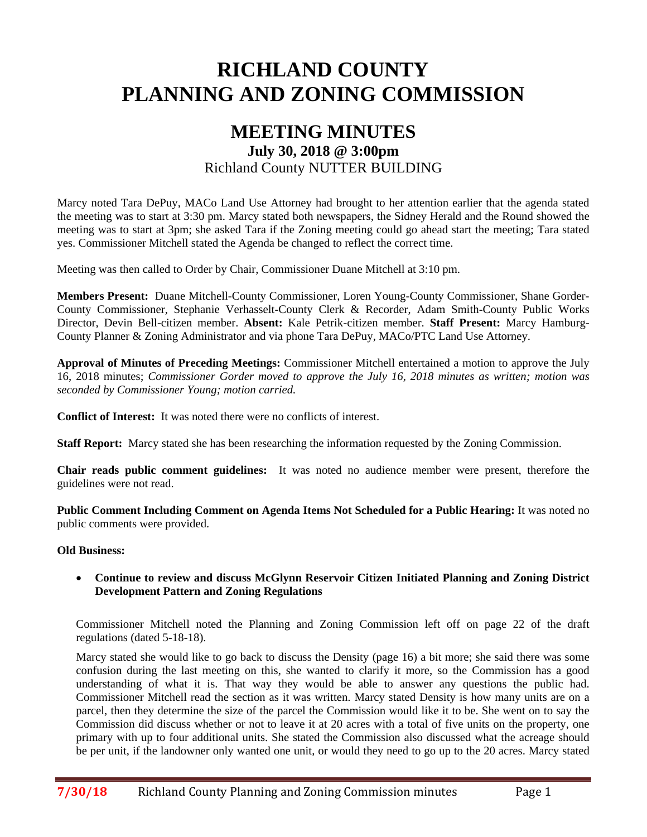# **RICHLAND COUNTY PLANNING AND ZONING COMMISSION**

# **MEETING MINUTES July 30, 2018 @ 3:00pm**  Richland County NUTTER BUILDING

Marcy noted Tara DePuy, MACo Land Use Attorney had brought to her attention earlier that the agenda stated the meeting was to start at 3:30 pm. Marcy stated both newspapers, the Sidney Herald and the Round showed the meeting was to start at 3pm; she asked Tara if the Zoning meeting could go ahead start the meeting; Tara stated yes. Commissioner Mitchell stated the Agenda be changed to reflect the correct time.

Meeting was then called to Order by Chair, Commissioner Duane Mitchell at 3:10 pm.

**Members Present:** Duane Mitchell-County Commissioner, Loren Young-County Commissioner, Shane Gorder-County Commissioner, Stephanie Verhasselt-County Clerk & Recorder, Adam Smith-County Public Works Director, Devin Bell-citizen member. **Absent:** Kale Petrik-citizen member. **Staff Present:** Marcy Hamburg-County Planner & Zoning Administrator and via phone Tara DePuy, MACo/PTC Land Use Attorney.

**Approval of Minutes of Preceding Meetings:** Commissioner Mitchell entertained a motion to approve the July 16, 2018 minutes; *Commissioner Gorder moved to approve the July 16, 2018 minutes as written; motion was seconded by Commissioner Young; motion carried.*

**Conflict of Interest:** It was noted there were no conflicts of interest.

**Staff Report:** Marcy stated she has been researching the information requested by the Zoning Commission.

**Chair reads public comment guidelines:** It was noted no audience member were present, therefore the guidelines were not read.

**Public Comment Including Comment on Agenda Items Not Scheduled for a Public Hearing:** It was noted no public comments were provided.

#### **Old Business:**

 **Continue to review and discuss McGlynn Reservoir Citizen Initiated Planning and Zoning District Development Pattern and Zoning Regulations** 

Commissioner Mitchell noted the Planning and Zoning Commission left off on page 22 of the draft regulations (dated 5-18-18).

Marcy stated she would like to go back to discuss the Density (page 16) a bit more; she said there was some confusion during the last meeting on this, she wanted to clarify it more, so the Commission has a good understanding of what it is. That way they would be able to answer any questions the public had. Commissioner Mitchell read the section as it was written. Marcy stated Density is how many units are on a parcel, then they determine the size of the parcel the Commission would like it to be. She went on to say the Commission did discuss whether or not to leave it at 20 acres with a total of five units on the property, one primary with up to four additional units. She stated the Commission also discussed what the acreage should be per unit, if the landowner only wanted one unit, or would they need to go up to the 20 acres. Marcy stated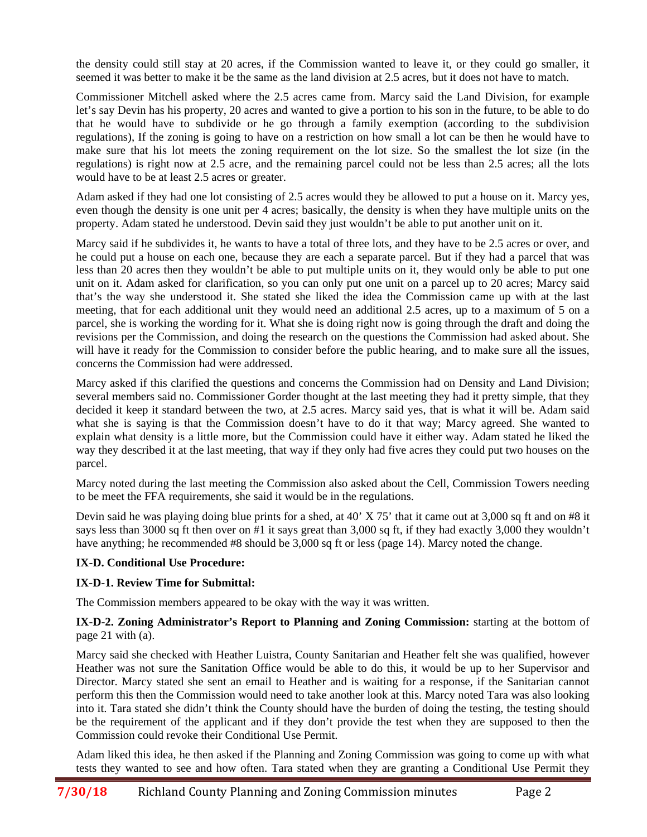the density could still stay at 20 acres, if the Commission wanted to leave it, or they could go smaller, it seemed it was better to make it be the same as the land division at 2.5 acres, but it does not have to match.

Commissioner Mitchell asked where the 2.5 acres came from. Marcy said the Land Division, for example let's say Devin has his property, 20 acres and wanted to give a portion to his son in the future, to be able to do that he would have to subdivide or he go through a family exemption (according to the subdivision regulations), If the zoning is going to have on a restriction on how small a lot can be then he would have to make sure that his lot meets the zoning requirement on the lot size. So the smallest the lot size (in the regulations) is right now at 2.5 acre, and the remaining parcel could not be less than 2.5 acres; all the lots would have to be at least 2.5 acres or greater.

Adam asked if they had one lot consisting of 2.5 acres would they be allowed to put a house on it. Marcy yes, even though the density is one unit per 4 acres; basically, the density is when they have multiple units on the property. Adam stated he understood. Devin said they just wouldn't be able to put another unit on it.

Marcy said if he subdivides it, he wants to have a total of three lots, and they have to be 2.5 acres or over, and he could put a house on each one, because they are each a separate parcel. But if they had a parcel that was less than 20 acres then they wouldn't be able to put multiple units on it, they would only be able to put one unit on it. Adam asked for clarification, so you can only put one unit on a parcel up to 20 acres; Marcy said that's the way she understood it. She stated she liked the idea the Commission came up with at the last meeting, that for each additional unit they would need an additional 2.5 acres, up to a maximum of 5 on a parcel, she is working the wording for it. What she is doing right now is going through the draft and doing the revisions per the Commission, and doing the research on the questions the Commission had asked about. She will have it ready for the Commission to consider before the public hearing, and to make sure all the issues, concerns the Commission had were addressed.

Marcy asked if this clarified the questions and concerns the Commission had on Density and Land Division; several members said no. Commissioner Gorder thought at the last meeting they had it pretty simple, that they decided it keep it standard between the two, at 2.5 acres. Marcy said yes, that is what it will be. Adam said what she is saying is that the Commission doesn't have to do it that way; Marcy agreed. She wanted to explain what density is a little more, but the Commission could have it either way. Adam stated he liked the way they described it at the last meeting, that way if they only had five acres they could put two houses on the parcel.

Marcy noted during the last meeting the Commission also asked about the Cell, Commission Towers needing to be meet the FFA requirements, she said it would be in the regulations.

Devin said he was playing doing blue prints for a shed, at 40' X 75' that it came out at 3,000 sq ft and on #8 it says less than 3000 sq ft then over on #1 it says great than 3,000 sq ft, if they had exactly 3,000 they wouldn't have anything; he recommended #8 should be 3,000 sq ft or less (page 14). Marcy noted the change.

# **IX-D. Conditional Use Procedure:**

# **IX-D-1. Review Time for Submittal:**

The Commission members appeared to be okay with the way it was written.

### **IX-D-2. Zoning Administrator's Report to Planning and Zoning Commission:** starting at the bottom of page 21 with (a).

Marcy said she checked with Heather Luistra, County Sanitarian and Heather felt she was qualified, however Heather was not sure the Sanitation Office would be able to do this, it would be up to her Supervisor and Director. Marcy stated she sent an email to Heather and is waiting for a response, if the Sanitarian cannot perform this then the Commission would need to take another look at this. Marcy noted Tara was also looking into it. Tara stated she didn't think the County should have the burden of doing the testing, the testing should be the requirement of the applicant and if they don't provide the test when they are supposed to then the Commission could revoke their Conditional Use Permit.

Adam liked this idea, he then asked if the Planning and Zoning Commission was going to come up with what tests they wanted to see and how often. Tara stated when they are granting a Conditional Use Permit they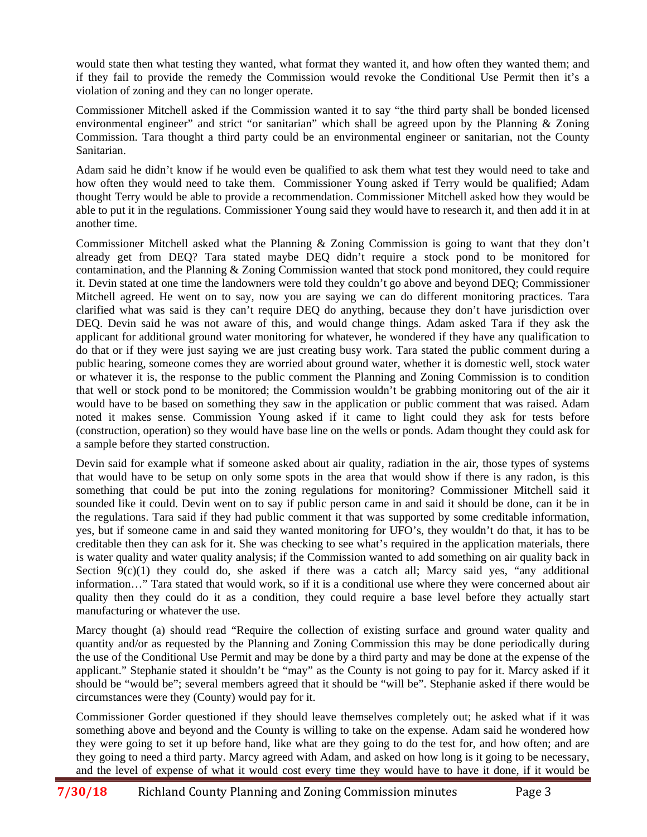would state then what testing they wanted, what format they wanted it, and how often they wanted them; and if they fail to provide the remedy the Commission would revoke the Conditional Use Permit then it's a violation of zoning and they can no longer operate.

Commissioner Mitchell asked if the Commission wanted it to say "the third party shall be bonded licensed environmental engineer" and strict "or sanitarian" which shall be agreed upon by the Planning & Zoning Commission. Tara thought a third party could be an environmental engineer or sanitarian, not the County Sanitarian.

Adam said he didn't know if he would even be qualified to ask them what test they would need to take and how often they would need to take them. Commissioner Young asked if Terry would be qualified; Adam thought Terry would be able to provide a recommendation. Commissioner Mitchell asked how they would be able to put it in the regulations. Commissioner Young said they would have to research it, and then add it in at another time.

Commissioner Mitchell asked what the Planning & Zoning Commission is going to want that they don't already get from DEQ? Tara stated maybe DEQ didn't require a stock pond to be monitored for contamination, and the Planning & Zoning Commission wanted that stock pond monitored, they could require it. Devin stated at one time the landowners were told they couldn't go above and beyond DEQ; Commissioner Mitchell agreed. He went on to say, now you are saying we can do different monitoring practices. Tara clarified what was said is they can't require DEQ do anything, because they don't have jurisdiction over DEQ. Devin said he was not aware of this, and would change things. Adam asked Tara if they ask the applicant for additional ground water monitoring for whatever, he wondered if they have any qualification to do that or if they were just saying we are just creating busy work. Tara stated the public comment during a public hearing, someone comes they are worried about ground water, whether it is domestic well, stock water or whatever it is, the response to the public comment the Planning and Zoning Commission is to condition that well or stock pond to be monitored; the Commission wouldn't be grabbing monitoring out of the air it would have to be based on something they saw in the application or public comment that was raised. Adam noted it makes sense. Commission Young asked if it came to light could they ask for tests before (construction, operation) so they would have base line on the wells or ponds. Adam thought they could ask for a sample before they started construction.

Devin said for example what if someone asked about air quality, radiation in the air, those types of systems that would have to be setup on only some spots in the area that would show if there is any radon, is this something that could be put into the zoning regulations for monitoring? Commissioner Mitchell said it sounded like it could. Devin went on to say if public person came in and said it should be done, can it be in the regulations. Tara said if they had public comment it that was supported by some creditable information, yes, but if someone came in and said they wanted monitoring for UFO's, they wouldn't do that, it has to be creditable then they can ask for it. She was checking to see what's required in the application materials, there is water quality and water quality analysis; if the Commission wanted to add something on air quality back in Section  $9(c)(1)$  they could do, she asked if there was a catch all; Marcy said yes, "any additional information…" Tara stated that would work, so if it is a conditional use where they were concerned about air quality then they could do it as a condition, they could require a base level before they actually start manufacturing or whatever the use.

Marcy thought (a) should read "Require the collection of existing surface and ground water quality and quantity and/or as requested by the Planning and Zoning Commission this may be done periodically during the use of the Conditional Use Permit and may be done by a third party and may be done at the expense of the applicant." Stephanie stated it shouldn't be "may" as the County is not going to pay for it. Marcy asked if it should be "would be"; several members agreed that it should be "will be". Stephanie asked if there would be circumstances were they (County) would pay for it.

Commissioner Gorder questioned if they should leave themselves completely out; he asked what if it was something above and beyond and the County is willing to take on the expense. Adam said he wondered how they were going to set it up before hand, like what are they going to do the test for, and how often; and are they going to need a third party. Marcy agreed with Adam, and asked on how long is it going to be necessary, and the level of expense of what it would cost every time they would have to have it done, if it would be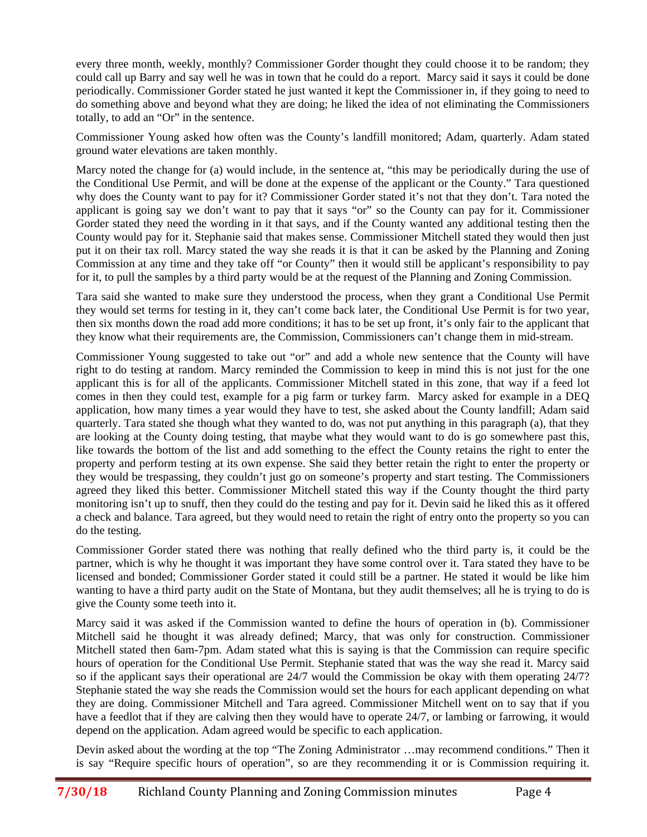every three month, weekly, monthly? Commissioner Gorder thought they could choose it to be random; they could call up Barry and say well he was in town that he could do a report. Marcy said it says it could be done periodically. Commissioner Gorder stated he just wanted it kept the Commissioner in, if they going to need to do something above and beyond what they are doing; he liked the idea of not eliminating the Commissioners totally, to add an "Or" in the sentence.

Commissioner Young asked how often was the County's landfill monitored; Adam, quarterly. Adam stated ground water elevations are taken monthly.

Marcy noted the change for (a) would include, in the sentence at, "this may be periodically during the use of the Conditional Use Permit, and will be done at the expense of the applicant or the County." Tara questioned why does the County want to pay for it? Commissioner Gorder stated it's not that they don't. Tara noted the applicant is going say we don't want to pay that it says "or" so the County can pay for it. Commissioner Gorder stated they need the wording in it that says, and if the County wanted any additional testing then the County would pay for it. Stephanie said that makes sense. Commissioner Mitchell stated they would then just put it on their tax roll. Marcy stated the way she reads it is that it can be asked by the Planning and Zoning Commission at any time and they take off "or County" then it would still be applicant's responsibility to pay for it, to pull the samples by a third party would be at the request of the Planning and Zoning Commission.

Tara said she wanted to make sure they understood the process, when they grant a Conditional Use Permit they would set terms for testing in it, they can't come back later, the Conditional Use Permit is for two year, then six months down the road add more conditions; it has to be set up front, it's only fair to the applicant that they know what their requirements are, the Commission, Commissioners can't change them in mid-stream.

Commissioner Young suggested to take out "or" and add a whole new sentence that the County will have right to do testing at random. Marcy reminded the Commission to keep in mind this is not just for the one applicant this is for all of the applicants. Commissioner Mitchell stated in this zone, that way if a feed lot comes in then they could test, example for a pig farm or turkey farm. Marcy asked for example in a DEQ application, how many times a year would they have to test, she asked about the County landfill; Adam said quarterly. Tara stated she though what they wanted to do, was not put anything in this paragraph (a), that they are looking at the County doing testing, that maybe what they would want to do is go somewhere past this, like towards the bottom of the list and add something to the effect the County retains the right to enter the property and perform testing at its own expense. She said they better retain the right to enter the property or they would be trespassing, they couldn't just go on someone's property and start testing. The Commissioners agreed they liked this better. Commissioner Mitchell stated this way if the County thought the third party monitoring isn't up to snuff, then they could do the testing and pay for it. Devin said he liked this as it offered a check and balance. Tara agreed, but they would need to retain the right of entry onto the property so you can do the testing.

Commissioner Gorder stated there was nothing that really defined who the third party is, it could be the partner, which is why he thought it was important they have some control over it. Tara stated they have to be licensed and bonded; Commissioner Gorder stated it could still be a partner. He stated it would be like him wanting to have a third party audit on the State of Montana, but they audit themselves; all he is trying to do is give the County some teeth into it.

Marcy said it was asked if the Commission wanted to define the hours of operation in (b). Commissioner Mitchell said he thought it was already defined; Marcy, that was only for construction. Commissioner Mitchell stated then 6am-7pm. Adam stated what this is saying is that the Commission can require specific hours of operation for the Conditional Use Permit. Stephanie stated that was the way she read it. Marcy said so if the applicant says their operational are 24/7 would the Commission be okay with them operating 24/7? Stephanie stated the way she reads the Commission would set the hours for each applicant depending on what they are doing. Commissioner Mitchell and Tara agreed. Commissioner Mitchell went on to say that if you have a feedlot that if they are calving then they would have to operate 24/7, or lambing or farrowing, it would depend on the application. Adam agreed would be specific to each application.

Devin asked about the wording at the top "The Zoning Administrator …may recommend conditions." Then it is say "Require specific hours of operation", so are they recommending it or is Commission requiring it.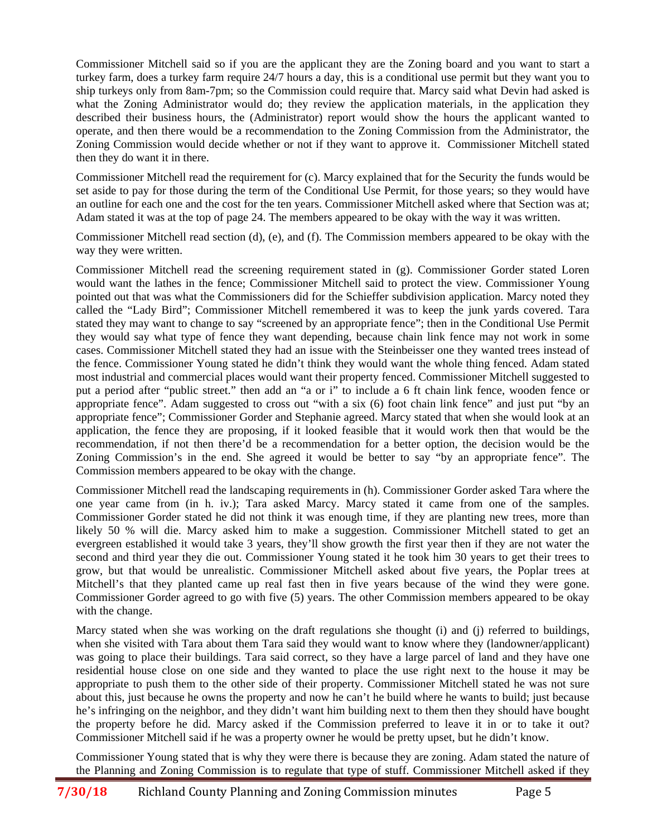Commissioner Mitchell said so if you are the applicant they are the Zoning board and you want to start a turkey farm, does a turkey farm require 24/7 hours a day, this is a conditional use permit but they want you to ship turkeys only from 8am-7pm; so the Commission could require that. Marcy said what Devin had asked is what the Zoning Administrator would do; they review the application materials, in the application they described their business hours, the (Administrator) report would show the hours the applicant wanted to operate, and then there would be a recommendation to the Zoning Commission from the Administrator, the Zoning Commission would decide whether or not if they want to approve it. Commissioner Mitchell stated then they do want it in there.

Commissioner Mitchell read the requirement for (c). Marcy explained that for the Security the funds would be set aside to pay for those during the term of the Conditional Use Permit, for those years; so they would have an outline for each one and the cost for the ten years. Commissioner Mitchell asked where that Section was at; Adam stated it was at the top of page 24. The members appeared to be okay with the way it was written.

Commissioner Mitchell read section (d), (e), and (f). The Commission members appeared to be okay with the way they were written.

Commissioner Mitchell read the screening requirement stated in (g). Commissioner Gorder stated Loren would want the lathes in the fence; Commissioner Mitchell said to protect the view. Commissioner Young pointed out that was what the Commissioners did for the Schieffer subdivision application. Marcy noted they called the "Lady Bird"; Commissioner Mitchell remembered it was to keep the junk yards covered. Tara stated they may want to change to say "screened by an appropriate fence"; then in the Conditional Use Permit they would say what type of fence they want depending, because chain link fence may not work in some cases. Commissioner Mitchell stated they had an issue with the Steinbeisser one they wanted trees instead of the fence. Commissioner Young stated he didn't think they would want the whole thing fenced. Adam stated most industrial and commercial places would want their property fenced. Commissioner Mitchell suggested to put a period after "public street." then add an "a or i" to include a 6 ft chain link fence, wooden fence or appropriate fence". Adam suggested to cross out "with a six (6) foot chain link fence" and just put "by an appropriate fence"; Commissioner Gorder and Stephanie agreed. Marcy stated that when she would look at an application, the fence they are proposing, if it looked feasible that it would work then that would be the recommendation, if not then there'd be a recommendation for a better option, the decision would be the Zoning Commission's in the end. She agreed it would be better to say "by an appropriate fence". The Commission members appeared to be okay with the change.

Commissioner Mitchell read the landscaping requirements in (h). Commissioner Gorder asked Tara where the one year came from (in h. iv.); Tara asked Marcy. Marcy stated it came from one of the samples. Commissioner Gorder stated he did not think it was enough time, if they are planting new trees, more than likely 50 % will die. Marcy asked him to make a suggestion. Commissioner Mitchell stated to get an evergreen established it would take 3 years, they'll show growth the first year then if they are not water the second and third year they die out. Commissioner Young stated it he took him 30 years to get their trees to grow, but that would be unrealistic. Commissioner Mitchell asked about five years, the Poplar trees at Mitchell's that they planted came up real fast then in five years because of the wind they were gone. Commissioner Gorder agreed to go with five (5) years. The other Commission members appeared to be okay with the change.

Marcy stated when she was working on the draft regulations she thought (i) and (j) referred to buildings, when she visited with Tara about them Tara said they would want to know where they (landowner/applicant) was going to place their buildings. Tara said correct, so they have a large parcel of land and they have one residential house close on one side and they wanted to place the use right next to the house it may be appropriate to push them to the other side of their property. Commissioner Mitchell stated he was not sure about this, just because he owns the property and now he can't he build where he wants to build; just because he's infringing on the neighbor, and they didn't want him building next to them then they should have bought the property before he did. Marcy asked if the Commission preferred to leave it in or to take it out? Commissioner Mitchell said if he was a property owner he would be pretty upset, but he didn't know.

Commissioner Young stated that is why they were there is because they are zoning. Adam stated the nature of the Planning and Zoning Commission is to regulate that type of stuff. Commissioner Mitchell asked if they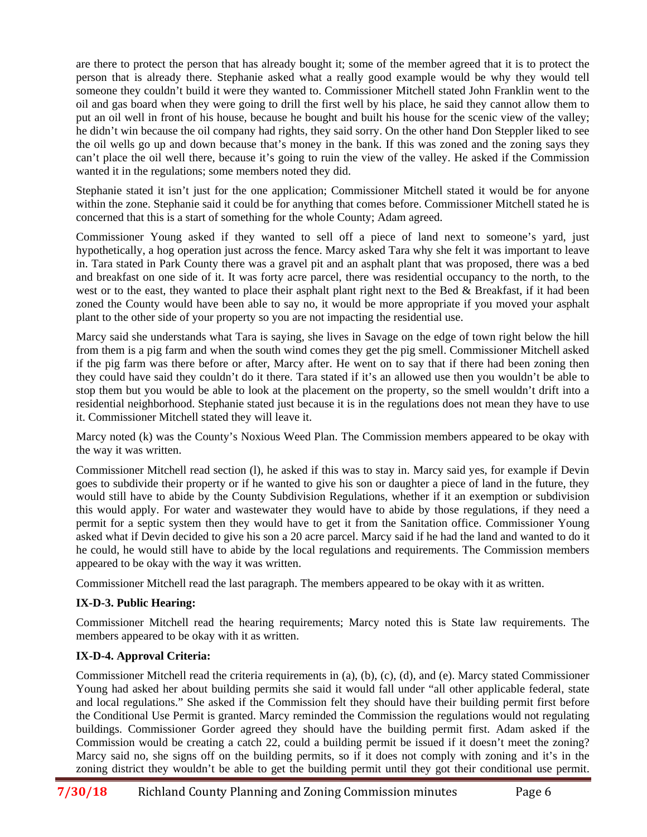are there to protect the person that has already bought it; some of the member agreed that it is to protect the person that is already there. Stephanie asked what a really good example would be why they would tell someone they couldn't build it were they wanted to. Commissioner Mitchell stated John Franklin went to the oil and gas board when they were going to drill the first well by his place, he said they cannot allow them to put an oil well in front of his house, because he bought and built his house for the scenic view of the valley; he didn't win because the oil company had rights, they said sorry. On the other hand Don Steppler liked to see the oil wells go up and down because that's money in the bank. If this was zoned and the zoning says they can't place the oil well there, because it's going to ruin the view of the valley. He asked if the Commission wanted it in the regulations; some members noted they did.

Stephanie stated it isn't just for the one application; Commissioner Mitchell stated it would be for anyone within the zone. Stephanie said it could be for anything that comes before. Commissioner Mitchell stated he is concerned that this is a start of something for the whole County; Adam agreed.

Commissioner Young asked if they wanted to sell off a piece of land next to someone's yard, just hypothetically, a hog operation just across the fence. Marcy asked Tara why she felt it was important to leave in. Tara stated in Park County there was a gravel pit and an asphalt plant that was proposed, there was a bed and breakfast on one side of it. It was forty acre parcel, there was residential occupancy to the north, to the west or to the east, they wanted to place their asphalt plant right next to the Bed & Breakfast, if it had been zoned the County would have been able to say no, it would be more appropriate if you moved your asphalt plant to the other side of your property so you are not impacting the residential use.

Marcy said she understands what Tara is saying, she lives in Savage on the edge of town right below the hill from them is a pig farm and when the south wind comes they get the pig smell. Commissioner Mitchell asked if the pig farm was there before or after, Marcy after. He went on to say that if there had been zoning then they could have said they couldn't do it there. Tara stated if it's an allowed use then you wouldn't be able to stop them but you would be able to look at the placement on the property, so the smell wouldn't drift into a residential neighborhood. Stephanie stated just because it is in the regulations does not mean they have to use it. Commissioner Mitchell stated they will leave it.

Marcy noted (k) was the County's Noxious Weed Plan. The Commission members appeared to be okay with the way it was written.

Commissioner Mitchell read section (l), he asked if this was to stay in. Marcy said yes, for example if Devin goes to subdivide their property or if he wanted to give his son or daughter a piece of land in the future, they would still have to abide by the County Subdivision Regulations, whether if it an exemption or subdivision this would apply. For water and wastewater they would have to abide by those regulations, if they need a permit for a septic system then they would have to get it from the Sanitation office. Commissioner Young asked what if Devin decided to give his son a 20 acre parcel. Marcy said if he had the land and wanted to do it he could, he would still have to abide by the local regulations and requirements. The Commission members appeared to be okay with the way it was written.

Commissioner Mitchell read the last paragraph. The members appeared to be okay with it as written.

# **IX-D-3. Public Hearing:**

Commissioner Mitchell read the hearing requirements; Marcy noted this is State law requirements. The members appeared to be okay with it as written.

# **IX-D-4. Approval Criteria:**

Commissioner Mitchell read the criteria requirements in (a), (b), (c), (d), and (e). Marcy stated Commissioner Young had asked her about building permits she said it would fall under "all other applicable federal, state and local regulations." She asked if the Commission felt they should have their building permit first before the Conditional Use Permit is granted. Marcy reminded the Commission the regulations would not regulating buildings. Commissioner Gorder agreed they should have the building permit first. Adam asked if the Commission would be creating a catch 22, could a building permit be issued if it doesn't meet the zoning? Marcy said no, she signs off on the building permits, so if it does not comply with zoning and it's in the zoning district they wouldn't be able to get the building permit until they got their conditional use permit.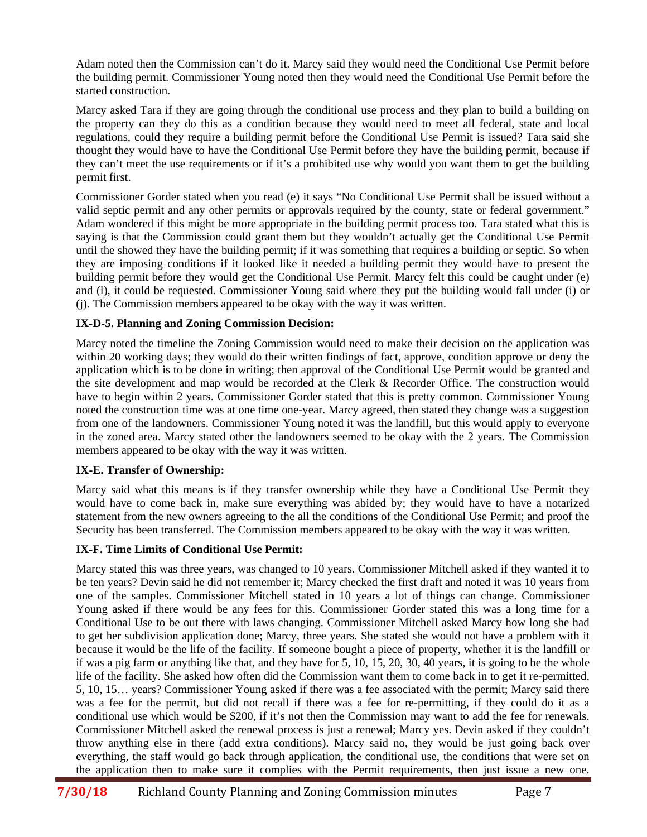Adam noted then the Commission can't do it. Marcy said they would need the Conditional Use Permit before the building permit. Commissioner Young noted then they would need the Conditional Use Permit before the started construction.

Marcy asked Tara if they are going through the conditional use process and they plan to build a building on the property can they do this as a condition because they would need to meet all federal, state and local regulations, could they require a building permit before the Conditional Use Permit is issued? Tara said she thought they would have to have the Conditional Use Permit before they have the building permit, because if they can't meet the use requirements or if it's a prohibited use why would you want them to get the building permit first.

Commissioner Gorder stated when you read (e) it says "No Conditional Use Permit shall be issued without a valid septic permit and any other permits or approvals required by the county, state or federal government." Adam wondered if this might be more appropriate in the building permit process too. Tara stated what this is saying is that the Commission could grant them but they wouldn't actually get the Conditional Use Permit until the showed they have the building permit; if it was something that requires a building or septic. So when they are imposing conditions if it looked like it needed a building permit they would have to present the building permit before they would get the Conditional Use Permit. Marcy felt this could be caught under (e) and (l), it could be requested. Commissioner Young said where they put the building would fall under (i) or (j). The Commission members appeared to be okay with the way it was written.

# **IX-D-5. Planning and Zoning Commission Decision:**

Marcy noted the timeline the Zoning Commission would need to make their decision on the application was within 20 working days; they would do their written findings of fact, approve, condition approve or deny the application which is to be done in writing; then approval of the Conditional Use Permit would be granted and the site development and map would be recorded at the Clerk & Recorder Office. The construction would have to begin within 2 years. Commissioner Gorder stated that this is pretty common. Commissioner Young noted the construction time was at one time one-year. Marcy agreed, then stated they change was a suggestion from one of the landowners. Commissioner Young noted it was the landfill, but this would apply to everyone in the zoned area. Marcy stated other the landowners seemed to be okay with the 2 years. The Commission members appeared to be okay with the way it was written.

# **IX-E. Transfer of Ownership:**

Marcy said what this means is if they transfer ownership while they have a Conditional Use Permit they would have to come back in, make sure everything was abided by; they would have to have a notarized statement from the new owners agreeing to the all the conditions of the Conditional Use Permit; and proof the Security has been transferred. The Commission members appeared to be okay with the way it was written.

# **IX-F. Time Limits of Conditional Use Permit:**

Marcy stated this was three years, was changed to 10 years. Commissioner Mitchell asked if they wanted it to be ten years? Devin said he did not remember it; Marcy checked the first draft and noted it was 10 years from one of the samples. Commissioner Mitchell stated in 10 years a lot of things can change. Commissioner Young asked if there would be any fees for this. Commissioner Gorder stated this was a long time for a Conditional Use to be out there with laws changing. Commissioner Mitchell asked Marcy how long she had to get her subdivision application done; Marcy, three years. She stated she would not have a problem with it because it would be the life of the facility. If someone bought a piece of property, whether it is the landfill or if was a pig farm or anything like that, and they have for 5, 10, 15, 20, 30, 40 years, it is going to be the whole life of the facility. She asked how often did the Commission want them to come back in to get it re-permitted, 5, 10, 15… years? Commissioner Young asked if there was a fee associated with the permit; Marcy said there was a fee for the permit, but did not recall if there was a fee for re-permitting, if they could do it as a conditional use which would be \$200, if it's not then the Commission may want to add the fee for renewals. Commissioner Mitchell asked the renewal process is just a renewal; Marcy yes. Devin asked if they couldn't throw anything else in there (add extra conditions). Marcy said no, they would be just going back over everything, the staff would go back through application, the conditional use, the conditions that were set on the application then to make sure it complies with the Permit requirements, then just issue a new one.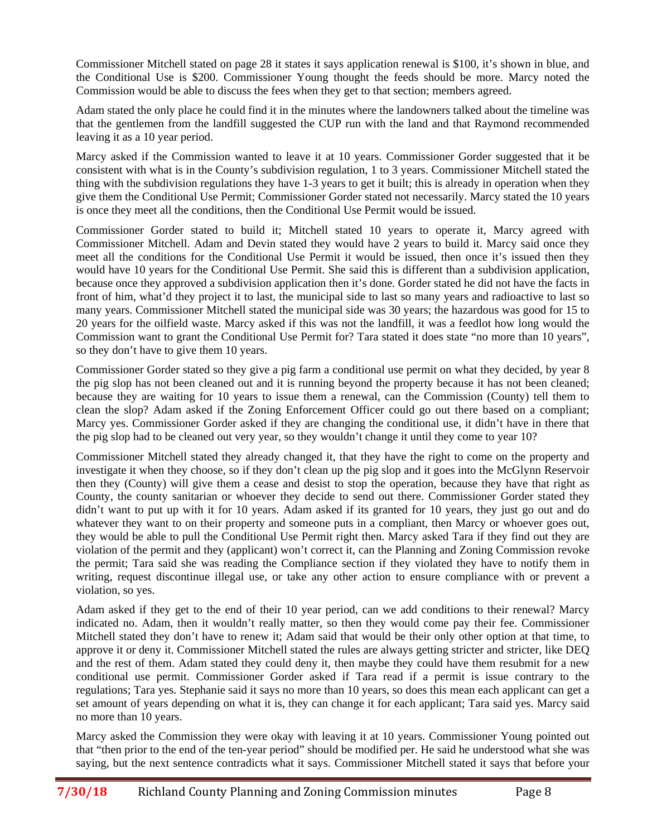Commissioner Mitchell stated on page 28 it states it says application renewal is \$100, it's shown in blue, and the Conditional Use is \$200. Commissioner Young thought the feeds should be more. Marcy noted the Commission would be able to discuss the fees when they get to that section; members agreed.

Adam stated the only place he could find it in the minutes where the landowners talked about the timeline was that the gentlemen from the landfill suggested the CUP run with the land and that Raymond recommended leaving it as a 10 year period.

Marcy asked if the Commission wanted to leave it at 10 years. Commissioner Gorder suggested that it be consistent with what is in the County's subdivision regulation, 1 to 3 years. Commissioner Mitchell stated the thing with the subdivision regulations they have 1-3 years to get it built; this is already in operation when they give them the Conditional Use Permit; Commissioner Gorder stated not necessarily. Marcy stated the 10 years is once they meet all the conditions, then the Conditional Use Permit would be issued.

Commissioner Gorder stated to build it; Mitchell stated 10 years to operate it, Marcy agreed with Commissioner Mitchell. Adam and Devin stated they would have 2 years to build it. Marcy said once they meet all the conditions for the Conditional Use Permit it would be issued, then once it's issued then they would have 10 years for the Conditional Use Permit. She said this is different than a subdivision application, because once they approved a subdivision application then it's done. Gorder stated he did not have the facts in front of him, what'd they project it to last, the municipal side to last so many years and radioactive to last so many years. Commissioner Mitchell stated the municipal side was 30 years; the hazardous was good for 15 to 20 years for the oilfield waste. Marcy asked if this was not the landfill, it was a feedlot how long would the Commission want to grant the Conditional Use Permit for? Tara stated it does state "no more than 10 years", so they don't have to give them 10 years.

Commissioner Gorder stated so they give a pig farm a conditional use permit on what they decided, by year 8 the pig slop has not been cleaned out and it is running beyond the property because it has not been cleaned; because they are waiting for 10 years to issue them a renewal, can the Commission (County) tell them to clean the slop? Adam asked if the Zoning Enforcement Officer could go out there based on a compliant; Marcy yes. Commissioner Gorder asked if they are changing the conditional use, it didn't have in there that the pig slop had to be cleaned out very year, so they wouldn't change it until they come to year 10?

Commissioner Mitchell stated they already changed it, that they have the right to come on the property and investigate it when they choose, so if they don't clean up the pig slop and it goes into the McGlynn Reservoir then they (County) will give them a cease and desist to stop the operation, because they have that right as County, the county sanitarian or whoever they decide to send out there. Commissioner Gorder stated they didn't want to put up with it for 10 years. Adam asked if its granted for 10 years, they just go out and do whatever they want to on their property and someone puts in a compliant, then Marcy or whoever goes out, they would be able to pull the Conditional Use Permit right then. Marcy asked Tara if they find out they are violation of the permit and they (applicant) won't correct it, can the Planning and Zoning Commission revoke the permit; Tara said she was reading the Compliance section if they violated they have to notify them in writing, request discontinue illegal use, or take any other action to ensure compliance with or prevent a violation, so yes.

Adam asked if they get to the end of their 10 year period, can we add conditions to their renewal? Marcy indicated no. Adam, then it wouldn't really matter, so then they would come pay their fee. Commissioner Mitchell stated they don't have to renew it; Adam said that would be their only other option at that time, to approve it or deny it. Commissioner Mitchell stated the rules are always getting stricter and stricter, like DEQ and the rest of them. Adam stated they could deny it, then maybe they could have them resubmit for a new conditional use permit. Commissioner Gorder asked if Tara read if a permit is issue contrary to the regulations; Tara yes. Stephanie said it says no more than 10 years, so does this mean each applicant can get a set amount of years depending on what it is, they can change it for each applicant; Tara said yes. Marcy said no more than 10 years.

Marcy asked the Commission they were okay with leaving it at 10 years. Commissioner Young pointed out that "then prior to the end of the ten-year period" should be modified per. He said he understood what she was saying, but the next sentence contradicts what it says. Commissioner Mitchell stated it says that before your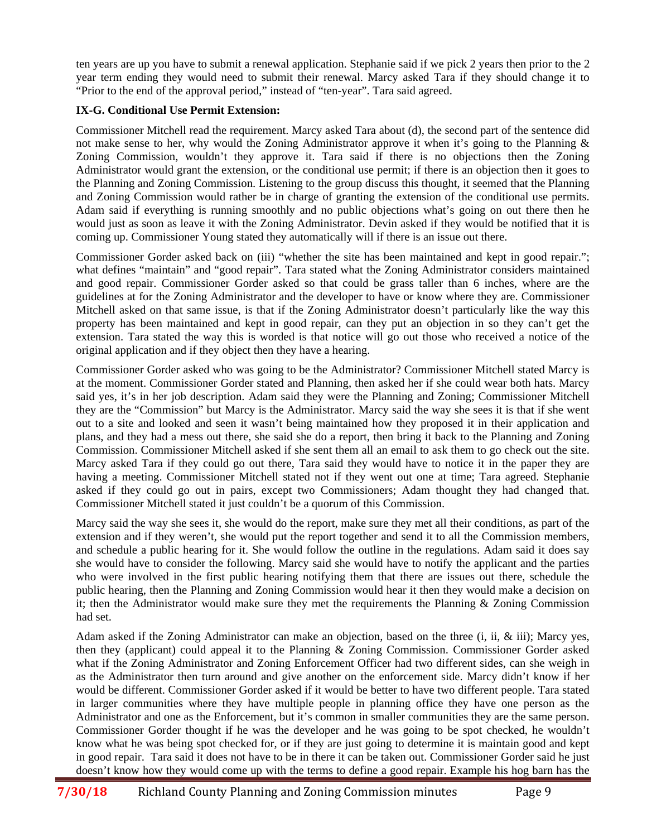ten years are up you have to submit a renewal application. Stephanie said if we pick 2 years then prior to the 2 year term ending they would need to submit their renewal. Marcy asked Tara if they should change it to "Prior to the end of the approval period," instead of "ten-year". Tara said agreed.

# **IX-G. Conditional Use Permit Extension:**

Commissioner Mitchell read the requirement. Marcy asked Tara about (d), the second part of the sentence did not make sense to her, why would the Zoning Administrator approve it when it's going to the Planning & Zoning Commission, wouldn't they approve it. Tara said if there is no objections then the Zoning Administrator would grant the extension, or the conditional use permit; if there is an objection then it goes to the Planning and Zoning Commission. Listening to the group discuss this thought, it seemed that the Planning and Zoning Commission would rather be in charge of granting the extension of the conditional use permits. Adam said if everything is running smoothly and no public objections what's going on out there then he would just as soon as leave it with the Zoning Administrator. Devin asked if they would be notified that it is coming up. Commissioner Young stated they automatically will if there is an issue out there.

Commissioner Gorder asked back on (iii) "whether the site has been maintained and kept in good repair."; what defines "maintain" and "good repair". Tara stated what the Zoning Administrator considers maintained and good repair. Commissioner Gorder asked so that could be grass taller than 6 inches, where are the guidelines at for the Zoning Administrator and the developer to have or know where they are. Commissioner Mitchell asked on that same issue, is that if the Zoning Administrator doesn't particularly like the way this property has been maintained and kept in good repair, can they put an objection in so they can't get the extension. Tara stated the way this is worded is that notice will go out those who received a notice of the original application and if they object then they have a hearing.

Commissioner Gorder asked who was going to be the Administrator? Commissioner Mitchell stated Marcy is at the moment. Commissioner Gorder stated and Planning, then asked her if she could wear both hats. Marcy said yes, it's in her job description. Adam said they were the Planning and Zoning; Commissioner Mitchell they are the "Commission" but Marcy is the Administrator. Marcy said the way she sees it is that if she went out to a site and looked and seen it wasn't being maintained how they proposed it in their application and plans, and they had a mess out there, she said she do a report, then bring it back to the Planning and Zoning Commission. Commissioner Mitchell asked if she sent them all an email to ask them to go check out the site. Marcy asked Tara if they could go out there, Tara said they would have to notice it in the paper they are having a meeting. Commissioner Mitchell stated not if they went out one at time; Tara agreed. Stephanie asked if they could go out in pairs, except two Commissioners; Adam thought they had changed that. Commissioner Mitchell stated it just couldn't be a quorum of this Commission.

Marcy said the way she sees it, she would do the report, make sure they met all their conditions, as part of the extension and if they weren't, she would put the report together and send it to all the Commission members, and schedule a public hearing for it. She would follow the outline in the regulations. Adam said it does say she would have to consider the following. Marcy said she would have to notify the applicant and the parties who were involved in the first public hearing notifying them that there are issues out there, schedule the public hearing, then the Planning and Zoning Commission would hear it then they would make a decision on it; then the Administrator would make sure they met the requirements the Planning  $\&$  Zoning Commission had set.

Adam asked if the Zoning Administrator can make an objection, based on the three (i, ii, & iii); Marcy yes, then they (applicant) could appeal it to the Planning & Zoning Commission. Commissioner Gorder asked what if the Zoning Administrator and Zoning Enforcement Officer had two different sides, can she weigh in as the Administrator then turn around and give another on the enforcement side. Marcy didn't know if her would be different. Commissioner Gorder asked if it would be better to have two different people. Tara stated in larger communities where they have multiple people in planning office they have one person as the Administrator and one as the Enforcement, but it's common in smaller communities they are the same person. Commissioner Gorder thought if he was the developer and he was going to be spot checked, he wouldn't know what he was being spot checked for, or if they are just going to determine it is maintain good and kept in good repair. Tara said it does not have to be in there it can be taken out. Commissioner Gorder said he just doesn't know how they would come up with the terms to define a good repair. Example his hog barn has the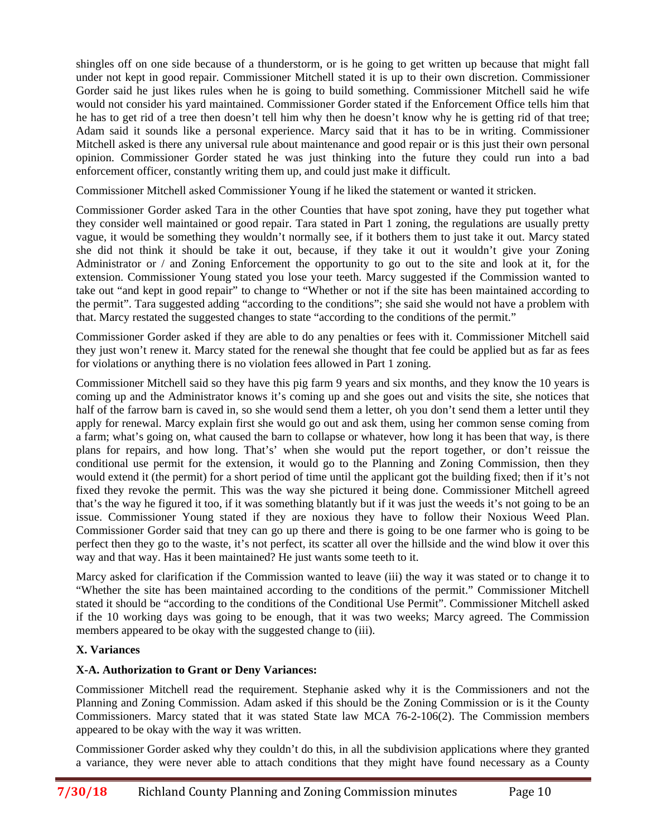shingles off on one side because of a thunderstorm, or is he going to get written up because that might fall under not kept in good repair. Commissioner Mitchell stated it is up to their own discretion. Commissioner Gorder said he just likes rules when he is going to build something. Commissioner Mitchell said he wife would not consider his yard maintained. Commissioner Gorder stated if the Enforcement Office tells him that he has to get rid of a tree then doesn't tell him why then he doesn't know why he is getting rid of that tree; Adam said it sounds like a personal experience. Marcy said that it has to be in writing. Commissioner Mitchell asked is there any universal rule about maintenance and good repair or is this just their own personal opinion. Commissioner Gorder stated he was just thinking into the future they could run into a bad enforcement officer, constantly writing them up, and could just make it difficult.

Commissioner Mitchell asked Commissioner Young if he liked the statement or wanted it stricken.

Commissioner Gorder asked Tara in the other Counties that have spot zoning, have they put together what they consider well maintained or good repair. Tara stated in Part 1 zoning, the regulations are usually pretty vague, it would be something they wouldn't normally see, if it bothers them to just take it out. Marcy stated she did not think it should be take it out, because, if they take it out it wouldn't give your Zoning Administrator or / and Zoning Enforcement the opportunity to go out to the site and look at it, for the extension. Commissioner Young stated you lose your teeth. Marcy suggested if the Commission wanted to take out "and kept in good repair" to change to "Whether or not if the site has been maintained according to the permit". Tara suggested adding "according to the conditions"; she said she would not have a problem with that. Marcy restated the suggested changes to state "according to the conditions of the permit."

Commissioner Gorder asked if they are able to do any penalties or fees with it. Commissioner Mitchell said they just won't renew it. Marcy stated for the renewal she thought that fee could be applied but as far as fees for violations or anything there is no violation fees allowed in Part 1 zoning.

Commissioner Mitchell said so they have this pig farm 9 years and six months, and they know the 10 years is coming up and the Administrator knows it's coming up and she goes out and visits the site, she notices that half of the farrow barn is caved in, so she would send them a letter, oh you don't send them a letter until they apply for renewal. Marcy explain first she would go out and ask them, using her common sense coming from a farm; what's going on, what caused the barn to collapse or whatever, how long it has been that way, is there plans for repairs, and how long. That's' when she would put the report together, or don't reissue the conditional use permit for the extension, it would go to the Planning and Zoning Commission, then they would extend it (the permit) for a short period of time until the applicant got the building fixed; then if it's not fixed they revoke the permit. This was the way she pictured it being done. Commissioner Mitchell agreed that's the way he figured it too, if it was something blatantly but if it was just the weeds it's not going to be an issue. Commissioner Young stated if they are noxious they have to follow their Noxious Weed Plan. Commissioner Gorder said that tney can go up there and there is going to be one farmer who is going to be perfect then they go to the waste, it's not perfect, its scatter all over the hillside and the wind blow it over this way and that way. Has it been maintained? He just wants some teeth to it.

Marcy asked for clarification if the Commission wanted to leave (iii) the way it was stated or to change it to "Whether the site has been maintained according to the conditions of the permit." Commissioner Mitchell stated it should be "according to the conditions of the Conditional Use Permit". Commissioner Mitchell asked if the 10 working days was going to be enough, that it was two weeks; Marcy agreed. The Commission members appeared to be okay with the suggested change to (iii).

# **X. Variances**

# **X-A. Authorization to Grant or Deny Variances:**

Commissioner Mitchell read the requirement. Stephanie asked why it is the Commissioners and not the Planning and Zoning Commission. Adam asked if this should be the Zoning Commission or is it the County Commissioners. Marcy stated that it was stated State law MCA 76-2-106(2). The Commission members appeared to be okay with the way it was written.

Commissioner Gorder asked why they couldn't do this, in all the subdivision applications where they granted a variance, they were never able to attach conditions that they might have found necessary as a County